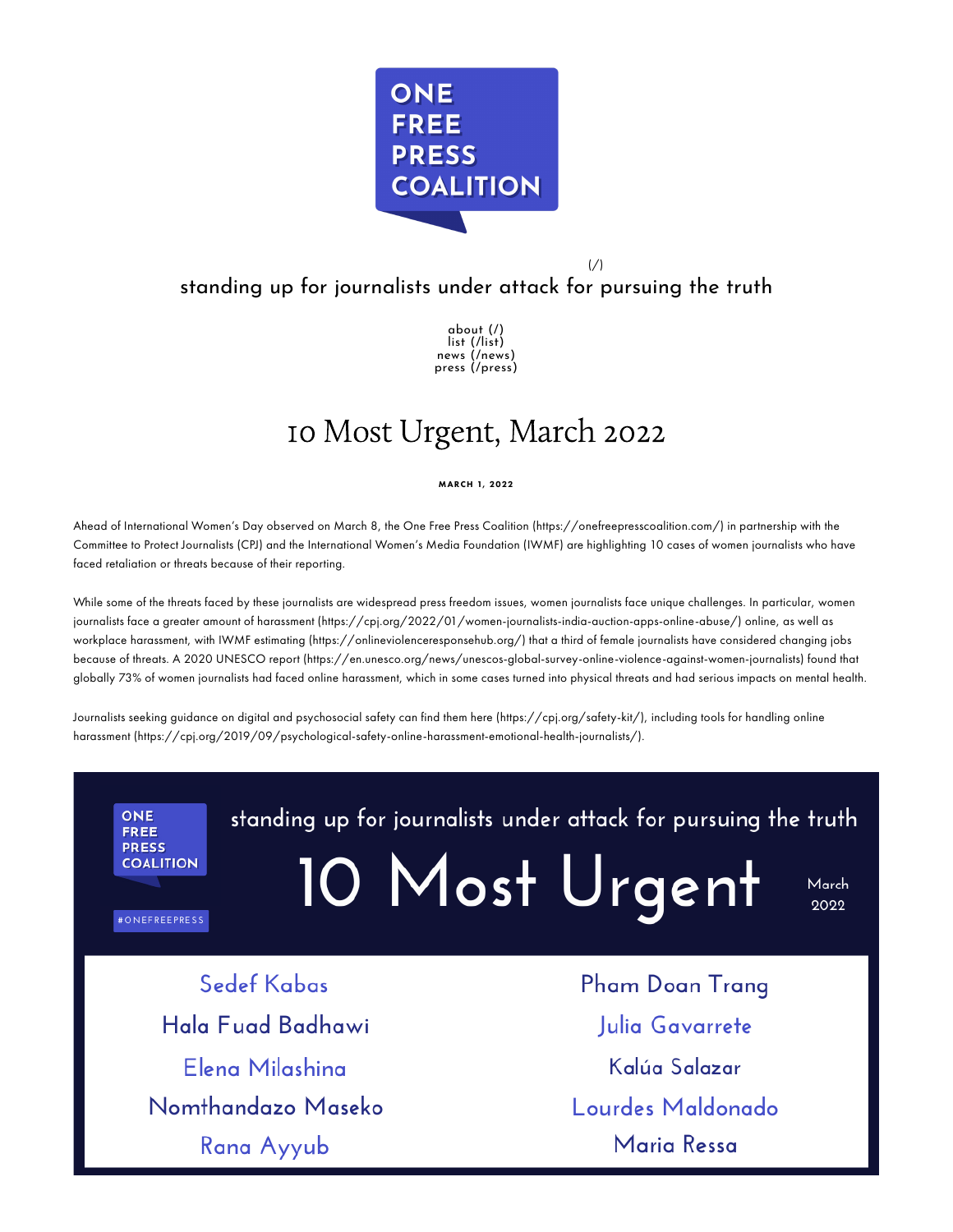

 $\frac{1}{2}$ 

# standing up for journalists under attack for pursuing the truth

[about](https://www.onefreepresscoalition.com/) (/) list [\(/list\)](https://www.onefreepresscoalition.com/list) news [\(/news\)](https://www.onefreepresscoalition.com/news) press [\(/press\)](https://www.onefreepresscoalition.com/press)

# 10 Most Urgent, March 2022

MARCH 1, 2022

Ahead of International Women's Day observed on March 8, the One Free Press Coalition [\(https://onefreepresscoalition.com/\)](https://onefreepresscoalition.com/) in partnership with the Committee to Protect Journalists (CPJ) and the International Women's Media Foundation (IWMF) are highlighting 10 cases of women journalists who have faced retaliation or threats because of their reporting.

While some of the threats faced by these journalists are widespread press freedom issues, women journalists face unique challenges. In particular, women journalists face a greater amount of harassment [\(https://cpj.org/2022/01/women-journalists-india-auction-apps-online-abuse/\)](https://cpj.org/2022/01/women-journalists-india-auction-apps-online-abuse/) online, as well as workplace harassment, with IWMF estimating [\(https://onlineviolenceresponsehub.org/\)](https://onlineviolenceresponsehub.org/) that a third of female journalists have considered changing jobs because of threats. A 2020 UNESCO report [\(https://en.unesco.org/news/unescos-global-survey-online-violence-against-women-journalists\)](https://en.unesco.org/news/unescos-global-survey-online-violence-against-women-journalists) found that globally 73% of women journalists had faced online harassment, which in some cases turned into physical threats and had serious impacts on mental health.

Journalists seeking guidance on digital and psychosocial safety can find them here [\(https://cpj.org/safety-kit/\)](https://cpj.org/safety-kit/), including tools for handling online harassment [\(https://cpj.org/2019/09/psychological-safety-online-harassment-emotional-health-journalists/\).](https://cpj.org/2019/09/psychological-safety-online-harassment-emotional-health-journalists/)

**ONE FREE PRESS COALITION** 

#ONEFREEPRESS

standing up for journalists under attack for pursuing the truth

10 Most Urgent

March 2022

Sedef Kabas Hala Fuad Badhawi Elena Milashina Nomthandazo Maseko Rana Ayyub

Pham Doan Trang Julia Gavarrete Kalúa Salazar Lourdes Maldonado Maria Ressa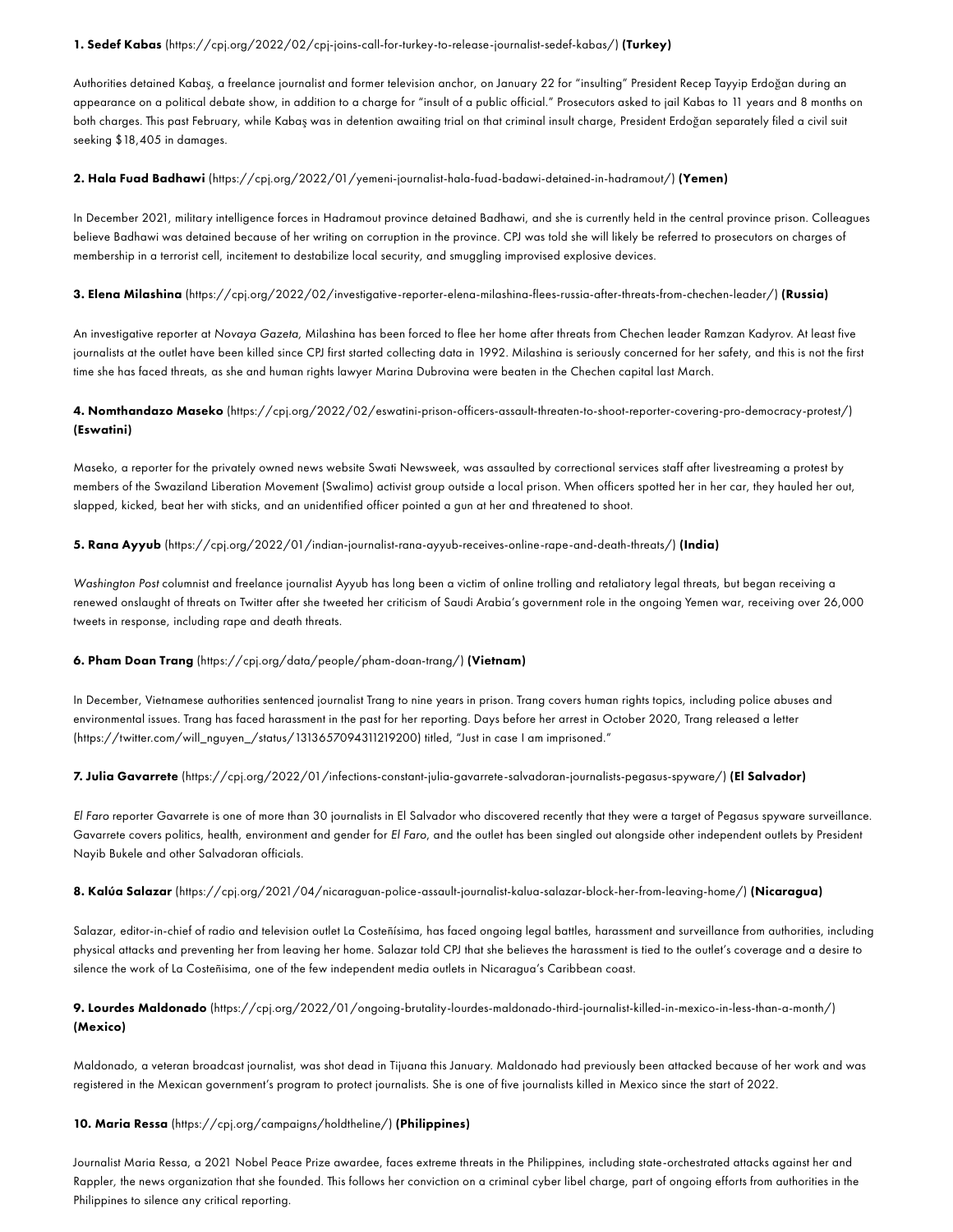#### 1. Sedef Kabas [\(https://cpj.org/2022/02/cpj-joins-call-for-turkey-to-release-journalist-sedef-kabas/\)](https://cpj.org/2022/02/cpj-joins-call-for-turkey-to-release-journalist-sedef-kabas/) (Turkey)

Authorities detained Kabaş, a freelance journalist and former television anchor, on January 22 for "insulting" President Recep Tayyip Erdoğan during an appearance on a political debate show, in addition to a charge for "insult of a public official." Prosecutors asked to jail Kabas to 11 years and 8 months on both charges. This past February, while Kabaş was in detention awaiting trial on that criminal insult charge, President Erdoğan separately filed a civil suit seeking \$18,405 in damages.

#### 2. Hala Fuad Badhawi [\(https://cpj.org/2022/01/yemeni-journalist-hala-fuad-badawi-detained-in-hadramout/\)](https://cpj.org/2022/01/yemeni-journalist-hala-fuad-badawi-detained-in-hadramout/) (Yemen)

In December 2021, military intelligence forces in Hadramout province detained Badhawi, and she is currently held in the central province prison. Colleagues believe Badhawi was detained because of her writing on corruption in the province. CPJ was told she will likely be referred to prosecutors on charges of membership in a terrorist cell, incitement to destabilize local security, and smuggling improvised explosive devices.

#### 3. Elena Milashina [\(https://cpj.org/2022/02/investigative-reporter-elena-milashina-flees-russia-after-threats-from-chechen-leader/\)](https://cpj.org/2022/02/investigative-reporter-elena-milashina-flees-russia-after-threats-from-chechen-leader/) (Russia)

An investigative reporter at *Novaya Gazeta,* Milashina has been forced to flee her home after threats from Chechen leader Ramzan Kadyrov. At least five journalists at the outlet have been killed since CPJ first started collecting data in 1992. Milashina is seriously concerned for her safety, and this is not the first time she has faced threats, as she and human rights lawyer Marina Dubrovina were beaten in the Chechen capital last March.

# 4. Nomthandazo Maseko [\(https://cpj.org/2022/02/eswatini-prison-officers-assault-threaten-to-shoot-reporter-covering-pro-democracy-protest/\)](https://cpj.org/2022/02/eswatini-prison-officers-assault-threaten-to-shoot-reporter-covering-pro-democracy-protest/) (Eswatini)

Maseko, a reporter for the privately owned news website Swati Newsweek, was assaulted by correctional services staff after livestreaming a protest by members of the Swaziland Liberation Movement (Swalimo) activist group outside a local prison. When officers spotted her in her car, they hauled her out, slapped, kicked, beat her with sticks, and an unidentified officer pointed a gun at her and threatened to shoot.

#### 5. Rana Ayyub [\(https://cpj.org/2022/01/indian-journalist-rana-ayyub-receives-online-rape-and-death-threats/\)](https://cpj.org/2022/01/indian-journalist-rana-ayyub-receives-online-rape-and-death-threats/) (India)

*Washington Post* columnist and freelance journalist Ayyub has long been a victim of online trolling and retaliatory legal threats, but began receiving a renewed onslaught of threats on Twitter after she tweeted her criticism of Saudi Arabia's government role in the ongoing Yemen war, receiving over 26,000 tweets in response, including rape and death threats.

#### 6. Pham Doan Trang [\(https://cpj.org/data/people/pham-doan-trang/\)](https://cpj.org/data/people/pham-doan-trang/) (Vietnam)

In December, Vietnamese authorities sentenced journalist Trang to nine years in prison. Trang covers human rights topics, including police abuses and environmental issues. Trang has faced harassment in the past for her reporting. Days before her arrest in October 2020, Trang released a letter [\(https://twitter.com/will\\_nguyen\\_/status/1313657094311219200\)](https://twitter.com/will_nguyen_/status/1313657094311219200) titled, "Just in case I am imprisoned."

### 7. Julia Gavarrete [\(https://cpj.org/2022/01/infections-constant-julia-gavarrete-salvadoran-journalists-pegasus-spyware/\)](https://cpj.org/2022/01/infections-constant-julia-gavarrete-salvadoran-journalists-pegasus-spyware/) (El Salvador)

*El Faro* reporter Gavarrete is one of more than 30 journalists in El Salvador who discovered recently that they were a target of Pegasus spyware surveillance. Gavarrete covers politics, health, environment and gender for *El Faro*, and the outlet has been singled out alongside other independent outlets by President Nayib Bukele and other Salvadoran officials.

#### 8. Kalúa Salazar [\(https://cpj.org/2021/04/nicaraguan-police-assault-journalist-kalua-salazar-block-her-from-leaving-home/\)](https://cpj.org/2021/04/nicaraguan-police-assault-journalist-kalua-salazar-block-her-from-leaving-home/) (Nicaragua)

Salazar, editor-in-chief of radio and television outlet La Costeñísima, has faced ongoing legal battles, harassment and surveillance from authorities, including physical attacks and preventing her from leaving her home. Salazar told CPJ that she believes the harassment is tied to the outlet's coverage and a desire to silence the work of La Costeñisima, one of the few independent media outlets in Nicaragua's Caribbean coast.

# 9. Lourdes Maldonado [\(https://cpj.org/2022/01/ongoing-brutality-lourdes-maldonado-third-journalist-killed-in-mexico-in-less-than-a-month/\)](https://cpj.org/2022/01/ongoing-brutality-lourdes-maldonado-third-journalist-killed-in-mexico-in-less-than-a-month/) (Mexico)

Maldonado, a veteran broadcast journalist, was shot dead in Tijuana this January. Maldonado had previously been attacked because of her work and was registered in the Mexican government's program to protect journalists. She is one of five journalists killed in Mexico since the start of 2022.

#### 10. Maria Ressa [\(https://cpj.org/campaigns/holdtheline/\)](https://cpj.org/campaigns/holdtheline/) (Philippines)

Journalist Maria Ressa, a 2021 Nobel Peace Prize awardee, faces extreme threats in the Philippines, including state-orchestrated attacks against her and Rappler*,* the news organization that she founded. This follows her conviction on a criminal cyber libel charge, part of ongoing efforts from authorities in the Philippines to silence any critical reporting.